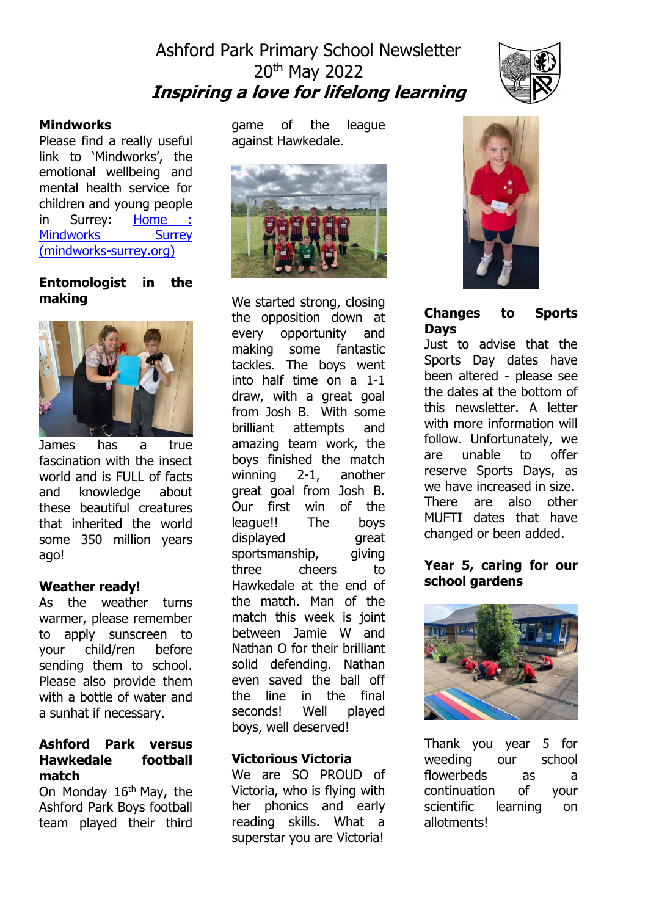# Ashford Park Primary School Newsletter 20th May 2022 **Inspiring a love for lifelong learning**



#### **Mindworks**

Please find a really useful link to 'Mindworks', the emotional wellbeing and mental health service for children and young people in Surrey: [Home :](https://www.mindworks-surrey.org/) Mindworks Surrey [\(mindworks-surrey.org\)](https://www.mindworks-surrey.org/)

### **Entomologist in the making**



James has a true fascination with the insect world and is FULL of facts and knowledge about these beautiful creatures that inherited the world some 350 million years ago!

### **Weather ready!**

As the weather turns warmer, please remember to apply sunscreen to your child/ren before sending them to school. Please also provide them with a bottle of water and a sunhat if necessary.

#### **Ashford Park versus Hawkedale football match**

On Monday  $16<sup>th</sup>$  May, the Ashford Park Boys football team played their third

game of the league against Hawkedale.



We started strong, closing the opposition down at every opportunity and making some fantastic tackles. The boys went into half time on a 1-1 draw, with a great goal from Josh B. With some brilliant attempts and amazing team work, the boys finished the match winning 2-1, another great goal from Josh B. Our first win of the league!! The boys displayed great sportsmanship, giving three cheers to Hawkedale at the end of the match. Man of the match this week is joint between Jamie W and Nathan O for their brilliant solid defending. Nathan even saved the ball off the line in the final seconds! Well played boys, well deserved!

### **Victorious Victoria**

We are SO PROUD of Victoria, who is flying with her phonics and early reading skills. What a superstar you are Victoria!



## **Changes to Sports Days**

Just to advise that the Sports Day dates have been altered - please see the dates at the bottom of this newsletter. A letter with more information will follow. Unfortunately, we are unable to offer reserve Sports Days, as we have increased in size. There are also other MUFTI dates that have changed or been added.

#### **Year 5, caring for our school gardens**



Thank you year 5 for weeding our school flowerbeds as a continuation of your scientific learning on allotments!